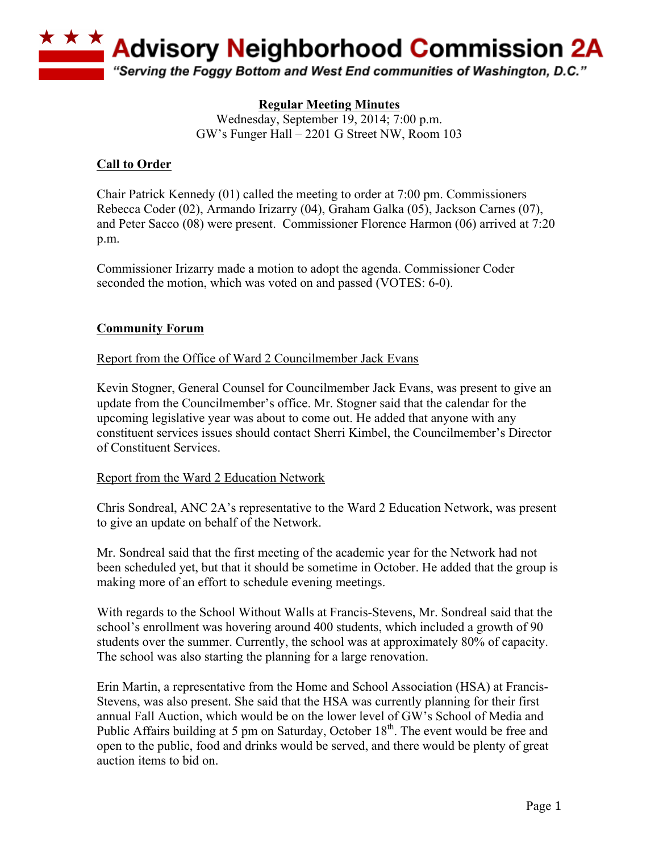

## **Regular Meeting Minutes**

Wednesday, September 19, 2014; 7:00 p.m. GW's Funger Hall – 2201 G Street NW, Room 103

#### **Call to Order**

Chair Patrick Kennedy (01) called the meeting to order at 7:00 pm. Commissioners Rebecca Coder (02), Armando Irizarry (04), Graham Galka (05), Jackson Carnes (07), and Peter Sacco (08) were present. Commissioner Florence Harmon (06) arrived at 7:20 p.m.

Commissioner Irizarry made a motion to adopt the agenda. Commissioner Coder seconded the motion, which was voted on and passed (VOTES: 6-0).

## **Community Forum**

Report from the Office of Ward 2 Councilmember Jack Evans

Kevin Stogner, General Counsel for Councilmember Jack Evans, was present to give an update from the Councilmember's office. Mr. Stogner said that the calendar for the upcoming legislative year was about to come out. He added that anyone with any constituent services issues should contact Sherri Kimbel, the Councilmember's Director of Constituent Services.

#### Report from the Ward 2 Education Network

Chris Sondreal, ANC 2A's representative to the Ward 2 Education Network, was present to give an update on behalf of the Network.

Mr. Sondreal said that the first meeting of the academic year for the Network had not been scheduled yet, but that it should be sometime in October. He added that the group is making more of an effort to schedule evening meetings.

With regards to the School Without Walls at Francis-Stevens, Mr. Sondreal said that the school's enrollment was hovering around 400 students, which included a growth of 90 students over the summer. Currently, the school was at approximately 80% of capacity. The school was also starting the planning for a large renovation.

Erin Martin, a representative from the Home and School Association (HSA) at Francis-Stevens, was also present. She said that the HSA was currently planning for their first annual Fall Auction, which would be on the lower level of GW's School of Media and Public Affairs building at 5 pm on Saturday, October  $18<sup>th</sup>$ . The event would be free and open to the public, food and drinks would be served, and there would be plenty of great auction items to bid on.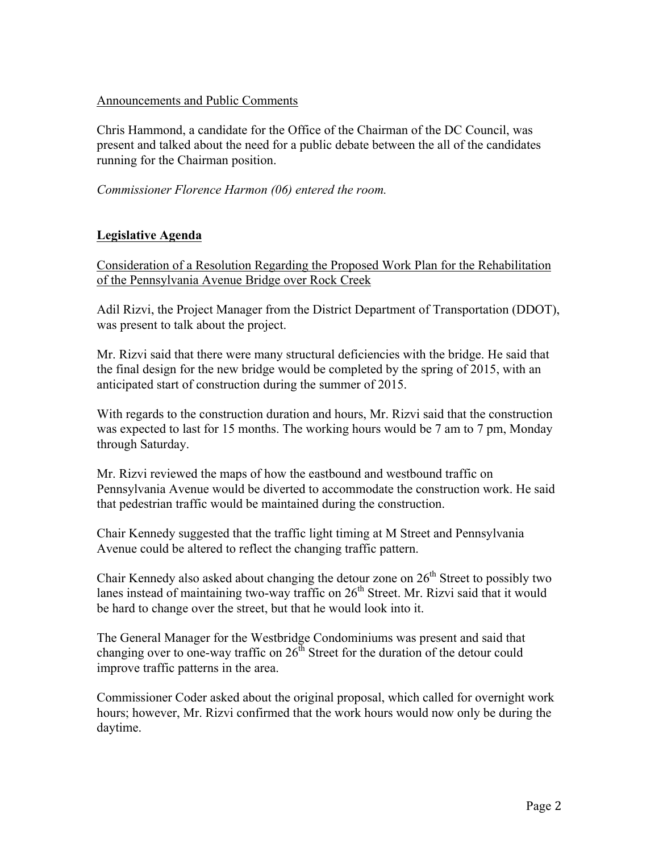#### Announcements and Public Comments

Chris Hammond, a candidate for the Office of the Chairman of the DC Council, was present and talked about the need for a public debate between the all of the candidates running for the Chairman position.

*Commissioner Florence Harmon (06) entered the room.*

## **Legislative Agenda**

Consideration of a Resolution Regarding the Proposed Work Plan for the Rehabilitation of the Pennsylvania Avenue Bridge over Rock Creek

Adil Rizvi, the Project Manager from the District Department of Transportation (DDOT), was present to talk about the project.

Mr. Rizvi said that there were many structural deficiencies with the bridge. He said that the final design for the new bridge would be completed by the spring of 2015, with an anticipated start of construction during the summer of 2015.

With regards to the construction duration and hours, Mr. Rizvi said that the construction was expected to last for 15 months. The working hours would be 7 am to 7 pm, Monday through Saturday.

Mr. Rizvi reviewed the maps of how the eastbound and westbound traffic on Pennsylvania Avenue would be diverted to accommodate the construction work. He said that pedestrian traffic would be maintained during the construction.

Chair Kennedy suggested that the traffic light timing at M Street and Pennsylvania Avenue could be altered to reflect the changing traffic pattern.

Chair Kennedy also asked about changing the detour zone on  $26<sup>th</sup>$  Street to possibly two lanes instead of maintaining two-way traffic on  $26<sup>th</sup>$  Street. Mr. Rizvi said that it would be hard to change over the street, but that he would look into it.

The General Manager for the Westbridge Condominiums was present and said that changing over to one-way traffic on  $26<sup>th</sup>$  Street for the duration of the detour could improve traffic patterns in the area.

Commissioner Coder asked about the original proposal, which called for overnight work hours; however, Mr. Rizvi confirmed that the work hours would now only be during the daytime.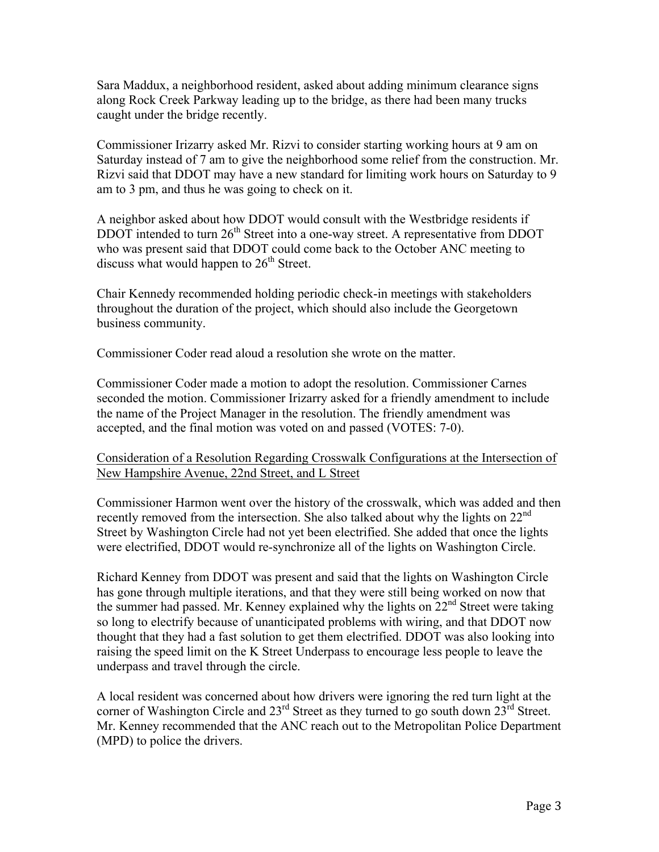Sara Maddux, a neighborhood resident, asked about adding minimum clearance signs along Rock Creek Parkway leading up to the bridge, as there had been many trucks caught under the bridge recently.

Commissioner Irizarry asked Mr. Rizvi to consider starting working hours at 9 am on Saturday instead of 7 am to give the neighborhood some relief from the construction. Mr. Rizvi said that DDOT may have a new standard for limiting work hours on Saturday to 9 am to 3 pm, and thus he was going to check on it.

A neighbor asked about how DDOT would consult with the Westbridge residents if  $DDOT$  intended to turn  $26<sup>th</sup>$  Street into a one-way street. A representative from DDOT who was present said that DDOT could come back to the October ANC meeting to discuss what would happen to  $26<sup>th</sup>$  Street.

Chair Kennedy recommended holding periodic check-in meetings with stakeholders throughout the duration of the project, which should also include the Georgetown business community.

Commissioner Coder read aloud a resolution she wrote on the matter.

Commissioner Coder made a motion to adopt the resolution. Commissioner Carnes seconded the motion. Commissioner Irizarry asked for a friendly amendment to include the name of the Project Manager in the resolution. The friendly amendment was accepted, and the final motion was voted on and passed (VOTES: 7-0).

## Consideration of a Resolution Regarding Crosswalk Configurations at the Intersection of New Hampshire Avenue, 22nd Street, and L Street

Commissioner Harmon went over the history of the crosswalk, which was added and then recently removed from the intersection. She also talked about why the lights on 22<sup>nd</sup> Street by Washington Circle had not yet been electrified. She added that once the lights were electrified, DDOT would re-synchronize all of the lights on Washington Circle.

Richard Kenney from DDOT was present and said that the lights on Washington Circle has gone through multiple iterations, and that they were still being worked on now that the summer had passed. Mr. Kenney explained why the lights on  $22<sup>nd</sup>$  Street were taking so long to electrify because of unanticipated problems with wiring, and that DDOT now thought that they had a fast solution to get them electrified. DDOT was also looking into raising the speed limit on the K Street Underpass to encourage less people to leave the underpass and travel through the circle.

A local resident was concerned about how drivers were ignoring the red turn light at the corner of Washington Circle and  $23^{\text{rd}}$  Street as they turned to go south down  $23^{\text{rd}}$  Street. Mr. Kenney recommended that the ANC reach out to the Metropolitan Police Department (MPD) to police the drivers.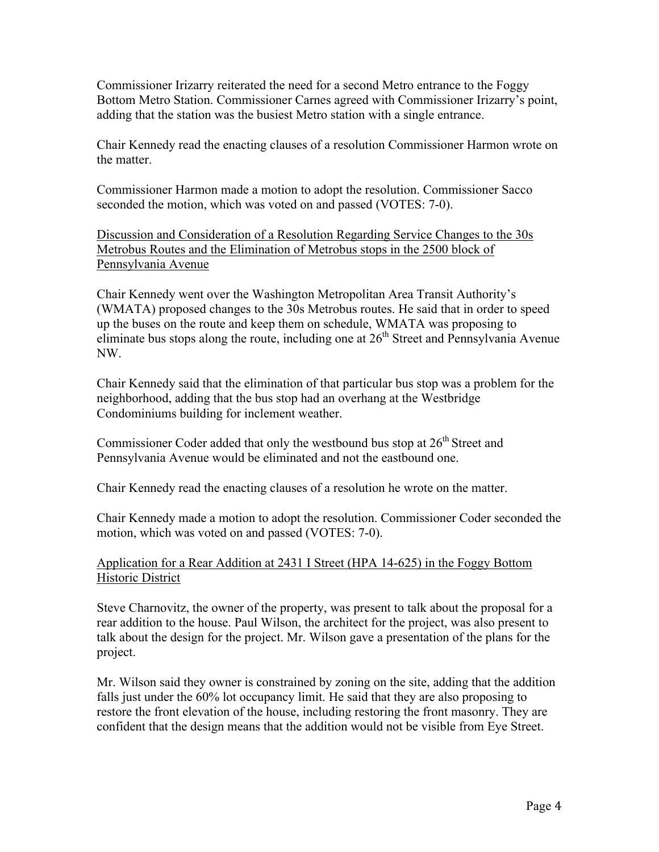Commissioner Irizarry reiterated the need for a second Metro entrance to the Foggy Bottom Metro Station. Commissioner Carnes agreed with Commissioner Irizarry's point, adding that the station was the busiest Metro station with a single entrance.

Chair Kennedy read the enacting clauses of a resolution Commissioner Harmon wrote on the matter.

Commissioner Harmon made a motion to adopt the resolution. Commissioner Sacco seconded the motion, which was voted on and passed (VOTES: 7-0).

Discussion and Consideration of a Resolution Regarding Service Changes to the 30s Metrobus Routes and the Elimination of Metrobus stops in the 2500 block of Pennsylvania Avenue

Chair Kennedy went over the Washington Metropolitan Area Transit Authority's (WMATA) proposed changes to the 30s Metrobus routes. He said that in order to speed up the buses on the route and keep them on schedule, WMATA was proposing to eliminate bus stops along the route, including one at  $26<sup>th</sup>$  Street and Pennsylvania Avenue NW.

Chair Kennedy said that the elimination of that particular bus stop was a problem for the neighborhood, adding that the bus stop had an overhang at the Westbridge Condominiums building for inclement weather.

Commissioner Coder added that only the westbound bus stop at  $26<sup>th</sup>$  Street and Pennsylvania Avenue would be eliminated and not the eastbound one.

Chair Kennedy read the enacting clauses of a resolution he wrote on the matter.

Chair Kennedy made a motion to adopt the resolution. Commissioner Coder seconded the motion, which was voted on and passed (VOTES: 7-0).

# Application for a Rear Addition at 2431 I Street (HPA 14-625) in the Foggy Bottom Historic District

Steve Charnovitz, the owner of the property, was present to talk about the proposal for a rear addition to the house. Paul Wilson, the architect for the project, was also present to talk about the design for the project. Mr. Wilson gave a presentation of the plans for the project.

Mr. Wilson said they owner is constrained by zoning on the site, adding that the addition falls just under the 60% lot occupancy limit. He said that they are also proposing to restore the front elevation of the house, including restoring the front masonry. They are confident that the design means that the addition would not be visible from Eye Street.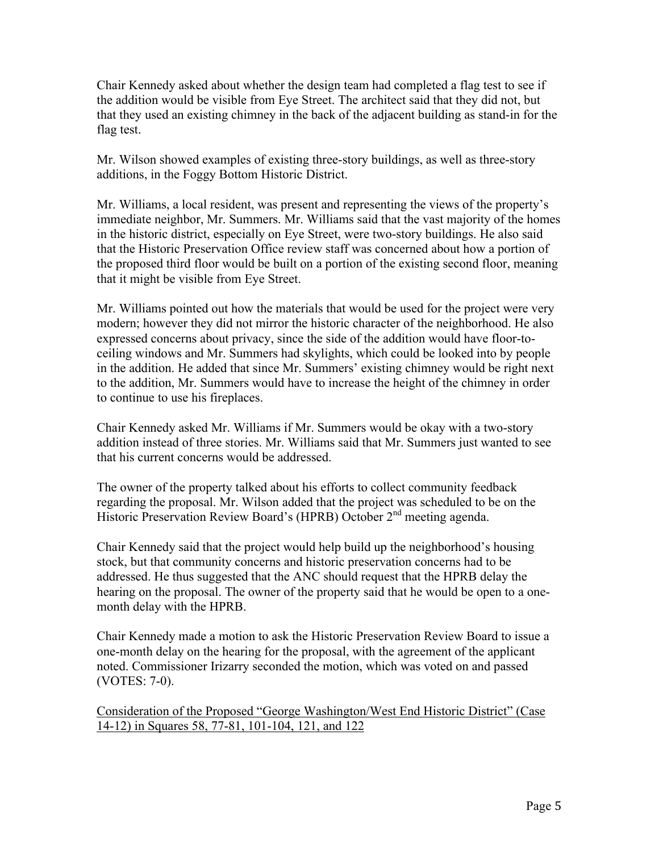Chair Kennedy asked about whether the design team had completed a flag test to see if the addition would be visible from Eye Street. The architect said that they did not, but that they used an existing chimney in the back of the adjacent building as stand-in for the flag test.

Mr. Wilson showed examples of existing three-story buildings, as well as three-story additions, in the Foggy Bottom Historic District.

Mr. Williams, a local resident, was present and representing the views of the property's immediate neighbor, Mr. Summers. Mr. Williams said that the vast majority of the homes in the historic district, especially on Eye Street, were two-story buildings. He also said that the Historic Preservation Office review staff was concerned about how a portion of the proposed third floor would be built on a portion of the existing second floor, meaning that it might be visible from Eye Street.

Mr. Williams pointed out how the materials that would be used for the project were very modern; however they did not mirror the historic character of the neighborhood. He also expressed concerns about privacy, since the side of the addition would have floor-toceiling windows and Mr. Summers had skylights, which could be looked into by people in the addition. He added that since Mr. Summers' existing chimney would be right next to the addition, Mr. Summers would have to increase the height of the chimney in order to continue to use his fireplaces.

Chair Kennedy asked Mr. Williams if Mr. Summers would be okay with a two-story addition instead of three stories. Mr. Williams said that Mr. Summers just wanted to see that his current concerns would be addressed.

The owner of the property talked about his efforts to collect community feedback regarding the proposal. Mr. Wilson added that the project was scheduled to be on the Historic Preservation Review Board's (HPRB) October 2<sup>nd</sup> meeting agenda.

Chair Kennedy said that the project would help build up the neighborhood's housing stock, but that community concerns and historic preservation concerns had to be addressed. He thus suggested that the ANC should request that the HPRB delay the hearing on the proposal. The owner of the property said that he would be open to a onemonth delay with the HPRB.

Chair Kennedy made a motion to ask the Historic Preservation Review Board to issue a one-month delay on the hearing for the proposal, with the agreement of the applicant noted. Commissioner Irizarry seconded the motion, which was voted on and passed (VOTES: 7-0).

Consideration of the Proposed "George Washington/West End Historic District" (Case 14-12) in Squares 58, 77-81, 101-104, 121, and 122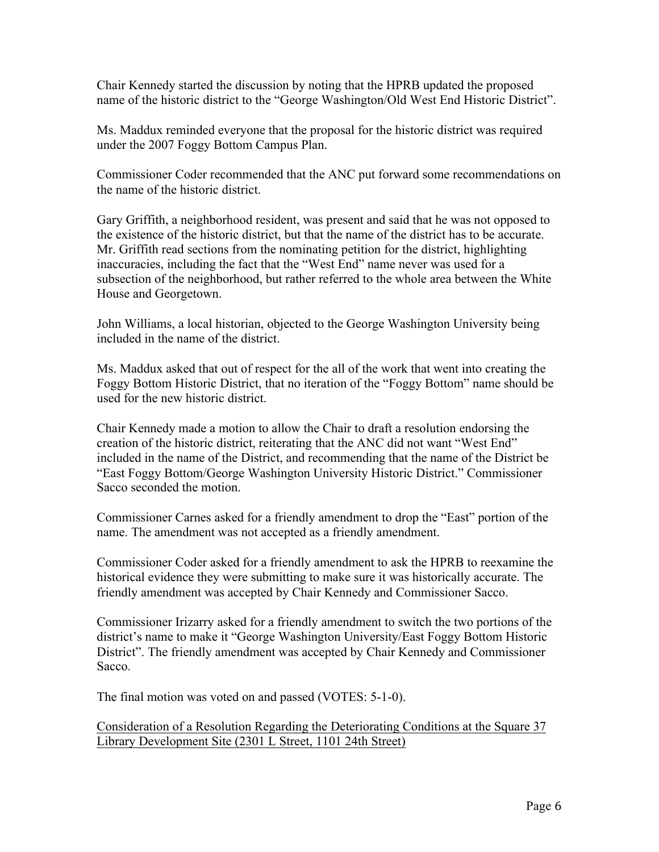Chair Kennedy started the discussion by noting that the HPRB updated the proposed name of the historic district to the "George Washington/Old West End Historic District".

Ms. Maddux reminded everyone that the proposal for the historic district was required under the 2007 Foggy Bottom Campus Plan.

Commissioner Coder recommended that the ANC put forward some recommendations on the name of the historic district.

Gary Griffith, a neighborhood resident, was present and said that he was not opposed to the existence of the historic district, but that the name of the district has to be accurate. Mr. Griffith read sections from the nominating petition for the district, highlighting inaccuracies, including the fact that the "West End" name never was used for a subsection of the neighborhood, but rather referred to the whole area between the White House and Georgetown.

John Williams, a local historian, objected to the George Washington University being included in the name of the district.

Ms. Maddux asked that out of respect for the all of the work that went into creating the Foggy Bottom Historic District, that no iteration of the "Foggy Bottom" name should be used for the new historic district.

Chair Kennedy made a motion to allow the Chair to draft a resolution endorsing the creation of the historic district, reiterating that the ANC did not want "West End" included in the name of the District, and recommending that the name of the District be "East Foggy Bottom/George Washington University Historic District." Commissioner Sacco seconded the motion.

Commissioner Carnes asked for a friendly amendment to drop the "East" portion of the name. The amendment was not accepted as a friendly amendment.

Commissioner Coder asked for a friendly amendment to ask the HPRB to reexamine the historical evidence they were submitting to make sure it was historically accurate. The friendly amendment was accepted by Chair Kennedy and Commissioner Sacco.

Commissioner Irizarry asked for a friendly amendment to switch the two portions of the district's name to make it "George Washington University/East Foggy Bottom Historic District". The friendly amendment was accepted by Chair Kennedy and Commissioner Sacco.

The final motion was voted on and passed (VOTES: 5-1-0).

Consideration of a Resolution Regarding the Deteriorating Conditions at the Square 37 Library Development Site (2301 L Street, 1101 24th Street)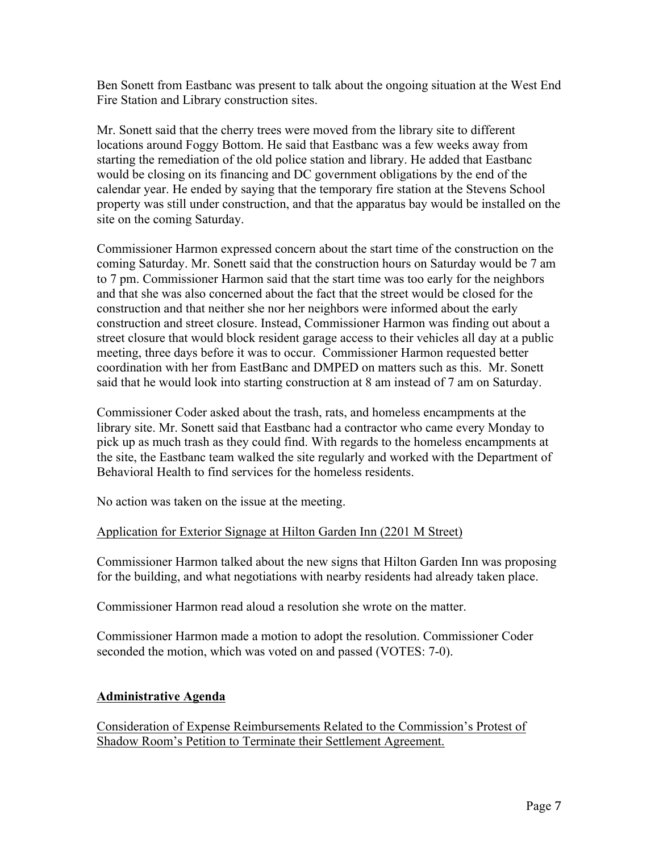Ben Sonett from Eastbanc was present to talk about the ongoing situation at the West End Fire Station and Library construction sites.

Mr. Sonett said that the cherry trees were moved from the library site to different locations around Foggy Bottom. He said that Eastbanc was a few weeks away from starting the remediation of the old police station and library. He added that Eastbanc would be closing on its financing and DC government obligations by the end of the calendar year. He ended by saying that the temporary fire station at the Stevens School property was still under construction, and that the apparatus bay would be installed on the site on the coming Saturday.

Commissioner Harmon expressed concern about the start time of the construction on the coming Saturday. Mr. Sonett said that the construction hours on Saturday would be 7 am to 7 pm. Commissioner Harmon said that the start time was too early for the neighbors and that she was also concerned about the fact that the street would be closed for the construction and that neither she nor her neighbors were informed about the early construction and street closure. Instead, Commissioner Harmon was finding out about a street closure that would block resident garage access to their vehicles all day at a public meeting, three days before it was to occur. Commissioner Harmon requested better coordination with her from EastBanc and DMPED on matters such as this. Mr. Sonett said that he would look into starting construction at 8 am instead of 7 am on Saturday.

Commissioner Coder asked about the trash, rats, and homeless encampments at the library site. Mr. Sonett said that Eastbanc had a contractor who came every Monday to pick up as much trash as they could find. With regards to the homeless encampments at the site, the Eastbanc team walked the site regularly and worked with the Department of Behavioral Health to find services for the homeless residents.

No action was taken on the issue at the meeting.

## Application for Exterior Signage at Hilton Garden Inn (2201 M Street)

Commissioner Harmon talked about the new signs that Hilton Garden Inn was proposing for the building, and what negotiations with nearby residents had already taken place.

Commissioner Harmon read aloud a resolution she wrote on the matter.

Commissioner Harmon made a motion to adopt the resolution. Commissioner Coder seconded the motion, which was voted on and passed (VOTES: 7-0).

## **Administrative Agenda**

Consideration of Expense Reimbursements Related to the Commission's Protest of Shadow Room's Petition to Terminate their Settlement Agreement.